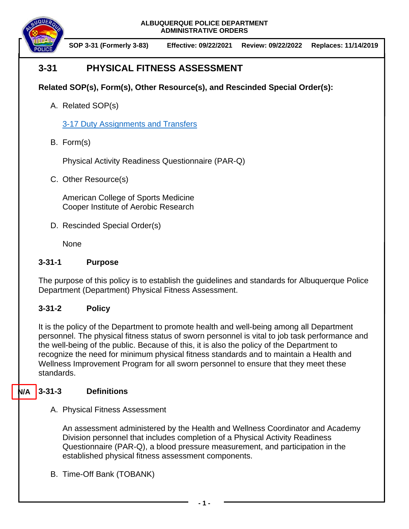



**SOP 3-31 (Formerly 3-83) Effective: 09/22/2021 Review: 09/22/2022 Replaces: 11/14/2019**

# **3-31 PHYSICAL FITNESS ASSESSMENT**

**Related SOP(s), Form(s), Other Resource(s), and Rescinded Special Order(s):**

A. Related SOP(s)

[3-17 Duty Assignments and Transfers](https://powerdms.com/docs/196)

B. Form(s)

Physical Activity Readiness Questionnaire (PAR-Q)

C. Other Resource(s)

American College of Sports Medicine Cooper Institute of Aerobic Research

D. Rescinded Special Order(s)

**None** 

### **3-31-1 Purpose**

The purpose of this policy is to establish the guidelines and standards for Albuquerque Police Department (Department) Physical Fitness Assessment.

## **3-31-2 Policy**

It is the policy of the Department to promote health and well-being among all Department personnel. The physical fitness status of sworn personnel is vital to job task performance and the well-being of the public. Because of this, it is also the policy of the Department to recognize the need for minimum physical fitness standards and to maintain a Health and Wellness Improvement Program for all sworn personnel to ensure that they meet these standards.

#### **3-31-3 Definitions N/A**

A. Physical Fitness Assessment

An assessment administered by the Health and Wellness Coordinator and Academy Division personnel that includes completion of a Physical Activity Readiness Questionnaire (PAR-Q), a blood pressure measurement, and participation in the established physical fitness assessment components.

B. Time-Off Bank (TOBANK)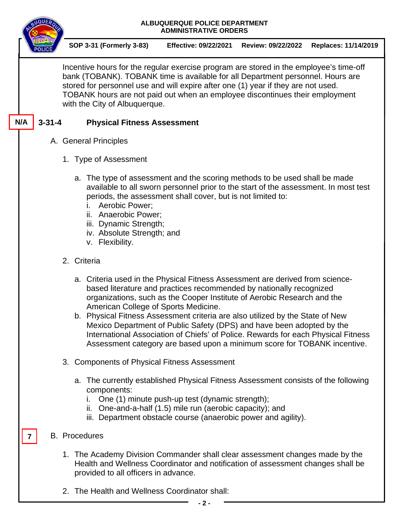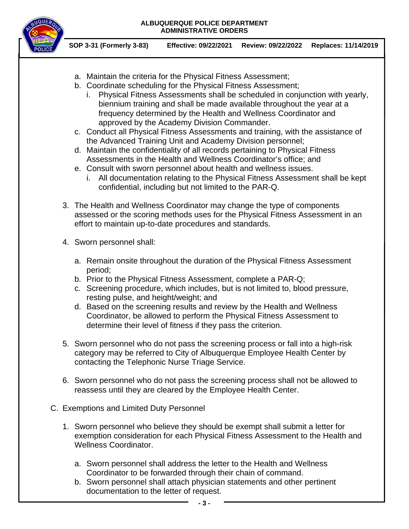

**SOP 3-31 (Formerly 3-83) Effective: 09/22/2021 Review: 09/22/2022 Replaces: 11/14/2019**

- a. Maintain the criteria for the Physical Fitness Assessment;
- b. Coordinate scheduling for the Physical Fitness Assessment;
	- i. Physical Fitness Assessments shall be scheduled in conjunction with yearly, biennium training and shall be made available throughout the year at a frequency determined by the Health and Wellness Coordinator and approved by the Academy Division Commander.
- c. Conduct all Physical Fitness Assessments and training, with the assistance of the Advanced Training Unit and Academy Division personnel;
- d. Maintain the confidentiality of all records pertaining to Physical Fitness Assessments in the Health and Wellness Coordinator's office; and
- e. Consult with sworn personnel about health and wellness issues.
	- i. All documentation relating to the Physical Fitness Assessment shall be kept confidential, including but not limited to the PAR-Q.
- 3. The Health and Wellness Coordinator may change the type of components assessed or the scoring methods uses for the Physical Fitness Assessment in an effort to maintain up-to-date procedures and standards.
- 4. Sworn personnel shall:
	- a. Remain onsite throughout the duration of the Physical Fitness Assessment period;
	- b. Prior to the Physical Fitness Assessment, complete a PAR-Q;
	- c. Screening procedure, which includes, but is not limited to, blood pressure, resting pulse, and height/weight; and
	- d. Based on the screening results and review by the Health and Wellness Coordinator, be allowed to perform the Physical Fitness Assessment to determine their level of fitness if they pass the criterion.
- 5. Sworn personnel who do not pass the screening process or fall into a high-risk category may be referred to City of Albuquerque Employee Health Center by contacting the Telephonic Nurse Triage Service.
- 6. Sworn personnel who do not pass the screening process shall not be allowed to reassess until they are cleared by the Employee Health Center.
- C. Exemptions and Limited Duty Personnel
	- 1. Sworn personnel who believe they should be exempt shall submit a letter for exemption consideration for each Physical Fitness Assessment to the Health and Wellness Coordinator.
		- a. Sworn personnel shall address the letter to the Health and Wellness Coordinator to be forwarded through their chain of command.
		- b. Sworn personnel shall attach physician statements and other pertinent documentation to the letter of request.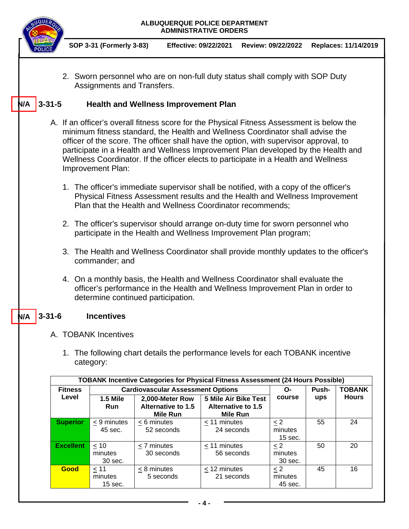

**SOP 3-31 (Formerly 3-83) Effective: 09/22/2021 Review: 09/22/2022 Replaces: 11/14/2019**

2. Sworn personnel who are on non-full duty status shall comply with SOP Duty Assignments and Transfers.

#### **3-31-5 Health and Wellness Improvement Plan N/A**

- A. If an officer's overall fitness score for the Physical Fitness Assessment is below the minimum fitness standard, the Health and Wellness Coordinator shall advise the officer of the score. The officer shall have the option, with supervisor approval, to participate in a Health and Wellness Improvement Plan developed by the Health and Wellness Coordinator. If the officer elects to participate in a Health and Wellness Improvement Plan:
	- 1. The officer's immediate supervisor shall be notified, with a copy of the officer's Physical Fitness Assessment results and the Health and Wellness Improvement Plan that the Health and Wellness Coordinator recommends;
	- 2. The officer's supervisor should arrange on-duty time for sworn personnel who participate in the Health and Wellness Improvement Plan program;
	- 3. The Health and Wellness Coordinator shall provide monthly updates to the officer's commander; and
	- 4. On a monthly basis, the Health and Wellness Coordinator shall evaluate the officer's performance in the Health and Wellness Improvement Plan in order to determine continued participation.

#### **3-31-6 Incentives N/A**

- A. TOBANK Incentives
	- 1. The following chart details the performance levels for each TOBANK incentive category:

| <b>TOBANK Incentive Categories for Physical Fitness Assessment (24 Hours Possible)</b> |                                          |                                                                 |                                                                      |           |       |               |  |  |  |  |  |
|----------------------------------------------------------------------------------------|------------------------------------------|-----------------------------------------------------------------|----------------------------------------------------------------------|-----------|-------|---------------|--|--|--|--|--|
| <b>Fitness</b>                                                                         | <b>Cardiovascular Assessment Options</b> |                                                                 |                                                                      | O-        | Push- | <b>TOBANK</b> |  |  |  |  |  |
| Level                                                                                  | <b>1.5 Mile</b><br><b>Run</b>            | 2,000-Meter Row<br><b>Alternative to 1.5</b><br><b>Mile Run</b> | <b>5 Mile Air Bike Test</b><br>Alternative to 1.5<br><b>Mile Run</b> | course    | ups   | <b>Hours</b>  |  |  |  |  |  |
| <b>Superior</b>                                                                        | < 9 minutes                              | $< 6$ minutes                                                   | $<$ 11 minutes                                                       | $\leq$ 2  | 55    | 24            |  |  |  |  |  |
|                                                                                        | 45 sec.                                  | 52 seconds                                                      | 24 seconds                                                           | minutes   |       |               |  |  |  |  |  |
|                                                                                        |                                          |                                                                 |                                                                      | $15$ sec. |       |               |  |  |  |  |  |
| <b>Excellent</b>                                                                       | < 10                                     | < 7 minutes                                                     | $<$ 11 minutes                                                       | $\leq$ 2  | 50    | 20            |  |  |  |  |  |
|                                                                                        | minutes                                  | 30 seconds                                                      | 56 seconds                                                           | minutes   |       |               |  |  |  |  |  |
|                                                                                        | 30 sec.                                  |                                                                 |                                                                      | 30 sec.   |       |               |  |  |  |  |  |
| Good                                                                                   | < 11                                     | $< 8$ minutes                                                   | $<$ 12 minutes                                                       | $\leq$ 2  | 45    | 16            |  |  |  |  |  |
|                                                                                        | minutes                                  | 5 seconds                                                       | 21 seconds                                                           | minutes   |       |               |  |  |  |  |  |
|                                                                                        | $15$ sec.                                |                                                                 |                                                                      | 45 sec.   |       |               |  |  |  |  |  |